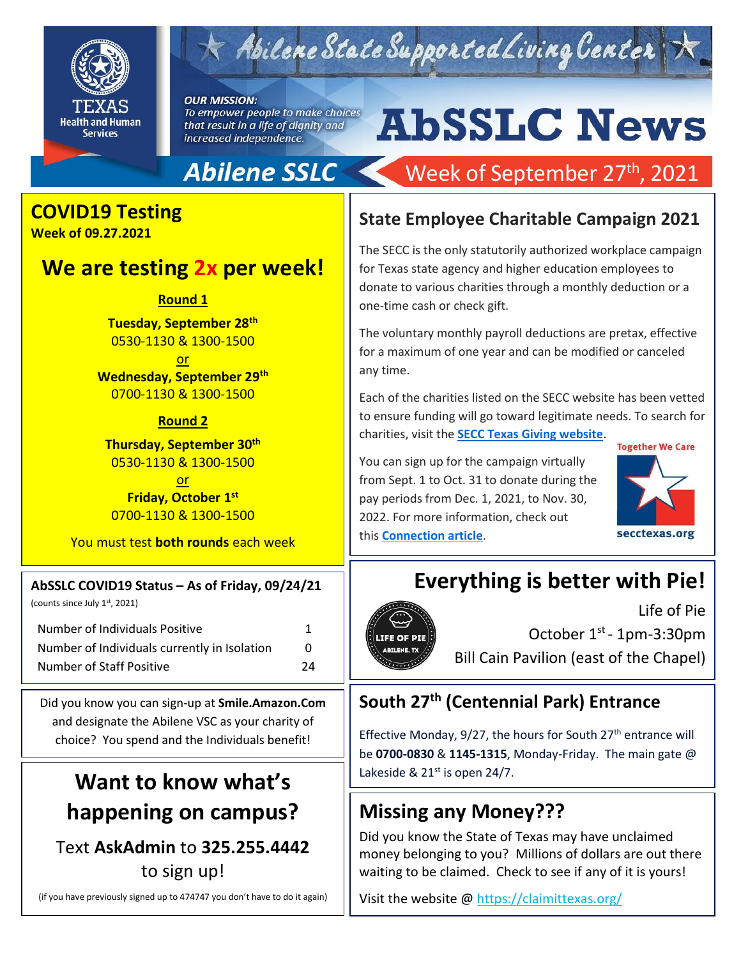

 $\star$  Abilene State Supported Living Center

**OUR MISSION:** To empower people to make choices that result in a life of dignity and increased independence.

# **AbSSLC News**

Week of September 27<sup>th</sup>, 2021

# **COVID19 Testing**

**Week of 09.27.2021**

## **We are testing 2x per week!**

**Round 1**

**Tuesday, September 28th** 0530-1130 & 1300-1500

or **Wednesday, September 29th** 0700-1130 & 1300-1500

**Round 2**

**Thursday, September 30th** 0530-1130 & 1300-1500

or **Friday, October 1st** 0700-1130 & 1300-1500

You must test **both rounds** each week

#### **AbSSLC COVID19 Status – As of Friday, 09/24/21**

(counts since July 1st, 2021)

Number of Individuals Positive 1 Number of Individuals currently in Isolation 0 Number of Staff Positive 24

Did you know you can sign-up at **Smile.Amazon.Com** and designate the Abilene VSC as your charity of choice? You spend and the Individuals benefit!

# **Want to know what's happening on campus?**

Text **AskAdmin** to **325.255.4442** to sign up!

(if you have previously signed up to 474747 you don't have to do it again)

#### **State Employee Charitable Campaign 2021**

The SECC is the only statutorily authorized workplace campaign for Texas state agency and higher education employees to donate to various charities through a monthly deduction or a one-time cash or check gift.

The voluntary monthly payroll deductions are pretax, effective for a maximum of one year and can be modified or canceled any time.

Each of the charities listed on the SECC website has been vetted to ensure funding will go toward legitimate needs. To search for charities, visit the **[SECC Texas Giving website](https://www.secctexasgiving.org/_root/index.php?content_id=1630)**.

You can sign up for the campaign virtually from Sept. 1 to Oct. 31 to donate during the pay periods from Dec. 1, 2021, to Nov. 30, 2022. For more information, check out this **[Connection article](https://hhsconnection.hhs.texas.gov/news-announcements/announcements/virtual-state-employee-charitable-campaign-begins-sept-1)**.



# **Everything is better with Pie!**



Life of Pie October 1<sup>st</sup> - 1pm-3:30pm Bill Cain Pavilion (east of the Chapel)

### **South 27th (Centennial Park) Entrance**

Effective Monday, 9/27, the hours for South 27<sup>th</sup> entrance will be **0700-0830** & **1145-1315**, Monday-Friday. The main gate @ Lakeside &  $21<sup>st</sup>$  is open 24/7.

# **Missing any Money???**

Did you know the State of Texas may have unclaimed money belonging to you? Millions of dollars are out there waiting to be claimed. Check to see if any of it is yours!

Visit the website @<https://claimittexas.org/>